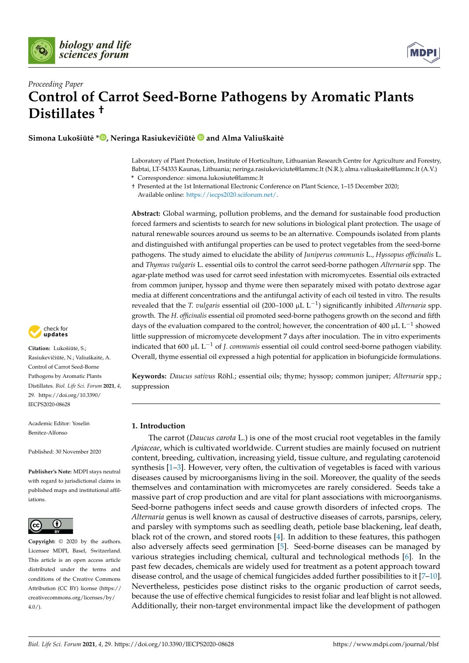



# *Proceeding Paper* **Control of Carrot Seed-Borne Pathogens by Aromatic Plants Distillates †**

**Simona Lukošiūtė [\\*](https://orcid.org/0000-0002-8787-2279)** $\bullet$ **, Neringa Rasiukevičiūtė**  $\bullet$  **and Alma Valiuškaitė** 

Laboratory of Plant Protection, Institute of Horticulture, Lithuanian Research Centre for Agriculture and Forestry, Babtai, LT-54333 Kaunas, Lithuania; neringa.rasiukeviciute@lammc.lt (N.R.); alma.valiuskaite@lammc.lt (A.V.) **\*** Correspondence: simona.lukosiute@lammc.lt

† Presented at the 1st International Electronic Conference on Plant Science, 1–15 December 2020; Available online: [https://iecps2020.sciforum.net/.](https://iecps2020.sciforum.net/)

**Abstract:** Global warming, pollution problems, and the demand for sustainable food production forced farmers and scientists to search for new solutions in biological plant protection. The usage of natural renewable sources around us seems to be an alternative. Compounds isolated from plants and distinguished with antifungal properties can be used to protect vegetables from the seed-borne pathogens. The study aimed to elucidate the ability of *Juniperus communis* L., *Hyssopus officinalis* L. and *Thymus vulgaris* L. essential oils to control the carrot seed-borne pathogen *Alternaria* spp. The agar-plate method was used for carrot seed infestation with micromycetes. Essential oils extracted from common juniper, hyssop and thyme were then separately mixed with potato dextrose agar media at different concentrations and the antifungal activity of each oil tested in vitro. The results revealed that the *T. vulgaris* essential oil (200–1000 µL L−<sup>1</sup> ) significantly inhibited *Alternaria* spp. growth. The *H. officinalis* essential oil promoted seed-borne pathogens growth on the second and fifth days of the evaluation compared to the control; however, the concentration of 400  $\mu$ L L<sup>-1</sup> showed little suppression of micromycete development 7 days after inoculation. The in vitro experiments indicated that 600 µL L−<sup>1</sup> of *J. communis* essential oil could control seed-borne pathogen viability. Overall, thyme essential oil expressed a high potential for application in biofungicide formulations.

**Keywords:** *Daucus sativus* Röhl.; essential oils; thyme; hyssop; common juniper; *Alternaria* spp.; suppression

# **1. Introduction**

The carrot (*Daucus carota* L.) is one of the most crucial root vegetables in the family *Apiaceae*, which is cultivated worldwide. Current studies are mainly focused on nutrient content, breeding, cultivation, increasing yield, tissue culture, and regulating carotenoid synthesis [\[1–](#page-5-0)[3\]](#page-5-1). However, very often, the cultivation of vegetables is faced with various diseases caused by microorganisms living in the soil. Moreover, the quality of the seeds themselves and contamination with micromycetes are rarely considered. Seeds take a massive part of crop production and are vital for plant associations with microorganisms. Seed-borne pathogens infect seeds and cause growth disorders of infected crops. The *Alternaria* genus is well known as causal of destructive diseases of carrots, parsnips, celery, and parsley with symptoms such as seedling death, petiole base blackening, leaf death, black rot of the crown, and stored roots [\[4\]](#page-5-2). In addition to these features, this pathogen also adversely affects seed germination [\[5\]](#page-5-3). Seed-borne diseases can be managed by various strategies including chemical, cultural and technological methods [\[6\]](#page-5-4). In the past few decades, chemicals are widely used for treatment as a potent approach toward disease control, and the usage of chemical fungicides added further possibilities to it [\[7](#page-5-5)[–10\]](#page-6-0). Nevertheless, pesticides pose distinct risks to the organic production of carrot seeds, because the use of effective chemical fungicides to resist foliar and leaf blight is not allowed. Additionally, their non-target environmental impact like the development of pathogen



**Citation:** Lukošiūtė, S.; Rasiukevičiūtė, N.; Valiuškaitė, A. Control of Carrot Seed-Borne Pathogens by Aromatic Plants Distillates. *Biol. Life Sci. Forum* **2021**, *4*, 29. [https://doi.org/10.3390/](https://doi.org/10.3390/IECPS2020-08628) [IECPS2020-08628](https://doi.org/10.3390/IECPS2020-08628)

Academic Editor: Yoselin Benitez-Alfonso

Published: 30 November 2020

**Publisher's Note:** MDPI stays neutral with regard to jurisdictional claims in published maps and institutional affiliations.



**Copyright:** © 2020 by the authors. Licensee MDPI, Basel, Switzerland. This article is an open access article distributed under the terms and conditions of the Creative Commons Attribution (CC BY) license (https:/[/](https://creativecommons.org/licenses/by/4.0/) [creativecommons.org/licenses/by/](https://creativecommons.org/licenses/by/4.0/)  $4.0/$ ).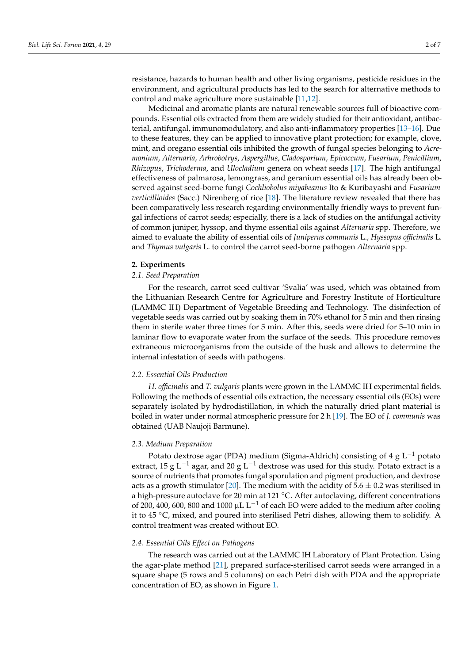resistance, hazards to human health and other living organisms, pesticide residues in the environment, and agricultural products has led to the search for alternative methods to control and make agriculture more sustainable [\[11,](#page-6-1)[12\]](#page-6-2).

Medicinal and aromatic plants are natural renewable sources full of bioactive compounds. Essential oils extracted from them are widely studied for their antioxidant, antibacterial, antifungal, immunomodulatory, and also anti-inflammatory properties [\[13](#page-6-3)[–16\]](#page-6-4). Due to these features, they can be applied to innovative plant protection; for example, clove, mint, and oregano essential oils inhibited the growth of fungal species belonging to *Acremonium*, *Alternaria*, *Arhrobotrys*, *Aspergillus*, *Cladosporium*, *Epicoccum*, *Fusarium*, *Penicillium*, *Rhizopus*, *Trichoderma*, and *Ulocladium* genera on wheat seeds [\[17\]](#page-6-5). The high antifungal effectiveness of palmarosa, lemongrass, and geranium essential oils has already been observed against seed-borne fungi *Cochliobolus miyabeanus* Ito & Kuribayashi and *Fusarium verticillioides* (Sacc.) Nirenberg of rice [\[18\]](#page-6-6). The literature review revealed that there has been comparatively less research regarding environmentally friendly ways to prevent fungal infections of carrot seeds; especially, there is a lack of studies on the antifungal activity of common juniper, hyssop, and thyme essential oils against *Alternaria* spp. Therefore, we aimed to evaluate the ability of essential oils of *Juniperus communis* L., *Hyssopus officinalis* L. and *Thymus vulgaris* L. to control the carrot seed-borne pathogen *Alternaria* spp.

# **2. Experiments**

### *2.1. Seed Preparation*

For the research, carrot seed cultivar 'Svalia' was used, which was obtained from the Lithuanian Research Centre for Agriculture and Forestry Institute of Horticulture (LAMMC IH) Department of Vegetable Breeding and Technology. The disinfection of vegetable seeds was carried out by soaking them in 70% ethanol for 5 min and then rinsing them in sterile water three times for 5 min. After this, seeds were dried for 5–10 min in laminar flow to evaporate water from the surface of the seeds. This procedure removes extraneous microorganisms from the outside of the husk and allows to determine the internal infestation of seeds with pathogens.

# *2.2. Essential Oils Production*

*H. officinalis* and *T. vulgaris* plants were grown in the LAMMC IH experimental fields. Following the methods of essential oils extraction, the necessary essential oils (EOs) were separately isolated by hydrodistillation, in which the naturally dried plant material is boiled in water under normal atmospheric pressure for 2 h [\[19\]](#page-6-7). The EO of *J. communis* was obtained (UAB Naujoji Barmune).

# *2.3. Medium Preparation*

Potato dextrose agar (PDA) medium (Sigma-Aldrich) consisting of 4 g  $L^{-1}$  potato extract, 15 g L<sup>-1</sup> agar, and 20 g L<sup>-1</sup> dextrose was used for this study. Potato extract is a source of nutrients that promotes fungal sporulation and pigment production, and dextrose acts as a growth stimulator [\[20\]](#page-6-8). The medium with the acidity of  $5.6 \pm 0.2$  was sterilised in a high-pressure autoclave for 20 min at 121  $^{\circ}$ C. After autoclaving, different concentrations of 200, 400, 600, 800 and 1000 µL L<sup>-1</sup> of each EO were added to the medium after cooling it to 45 ◦C, mixed, and poured into sterilised Petri dishes, allowing them to solidify. A control treatment was created without EO.

### *2.4. Essential Oils Effect on Pathogens*

The research was carried out at the LAMMC IH Laboratory of Plant Protection. Using the agar-plate method [\[21\]](#page-6-9), prepared surface-sterilised carrot seeds were arranged in a square shape (5 rows and 5 columns) on each Petri dish with PDA and the appropriate concentration of EO, as shown in Figure [1.](#page-2-0)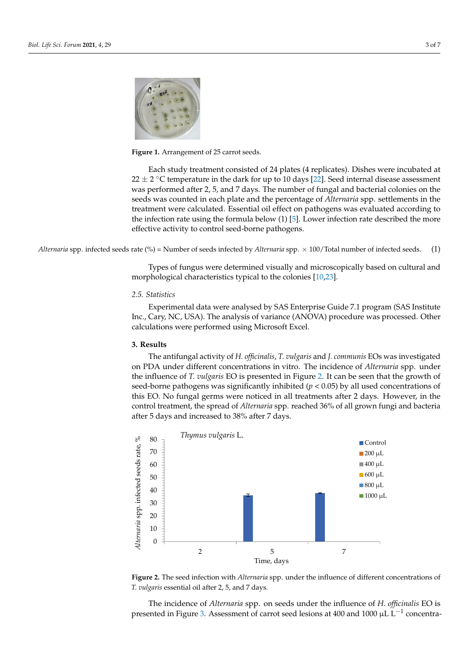<span id="page-2-0"></span>

**Figure 1.** Arrangement of 25 carrot seeds. **Figure 1.** Arrangement of 25 carrot seeds.

Each study treatment consisted of 24 plates (4 replicates). Dishes were incubated at Each study treatment consisted of 24 plates (4 replicates). Dishes were incubated at  $22 \pm 2$  °C temperature in the dark for up to 10 days [\[22\]](#page-6-10). Seed internal disease assessment was performed after 2, 5, and 7 days. The number of fungal and bacterial colonies on the seeds was counted in each plate and the percentage of *Alternaria* spp. settlements in the seeds was counted in each plate and the percentage of *Alternaria* spp. settlements in the treatment were calculated. Essential oil effect on pathogens was evaluated according to the infection rate using the formula below (1) [\[5\]](#page-5-3). Lower infection rate described the more effective activity to control seed-borne pathogens. was performed after 2, 5, and 7 days. The number of fungal and bacterial colonies on the

Alternaria spp. infected seeds rate (%) = Number of seeds infected by Alternaria spp.  $\times$  100/Total number of infected seeds. (1)

Types of fungus were determined visually and microscopically based on cultural and morphological characteristics typical to the colonies [\[10](#page-6-0)[,23\]](#page-6-11).

# morphological characteristics typical to the colonies [10,23]. *2.5. Statistics*

Inc., Cary, NC, USA). The analysis of variance (ANOVA) procedure was processed. Other calculations were performed using Microsoft Excel. Experimental data were analysed by SAS Enterprise Guide 7.1 program (SAS Institute

#### $\sum_{i=1}^{n}$ **3. Results**

The antifungal activity of *H. officinalis*, *T. vulgaris* and *J. communis* EOs was investigated **3. Results**  the influence of *T. vulgaris* EO is presented in Figure [2.](#page-2-1) It can be seen that the growth of seed-borne pathogens was significantly inhibited ( $p < 0.05$ ) by all used concentrations of this EO. No fungal germs were noticed in all treatments after 2 days. However, in the control treatment, the spread of *Alternaria* spp. reached 36% of all grown fungi and bacteria after 5 days and increased to 38% after 7 days. on PDA under different concentrations in vitro. The incidence of *Alternaria* spp. under

<span id="page-2-1"></span>

Figure 2. The seed infection with Alternaria spp. under the influence of different concentrations of *T. vulgaris* essential oil after 2, 5, and 7 days. *T. vulgaris* essential oil after 2, 5, and 7 days.

 $\mathsf{P}^1$ *Hyssopus officinalis* L. The incidence of *Alternaria* spp. on seeds under the influence of *H. officinalis* EO is presented in Figure [3.](#page-3-0) Assessment of carrot seed lesions at 400 and 1000  $\mu$ L L<sup>-1</sup> concentra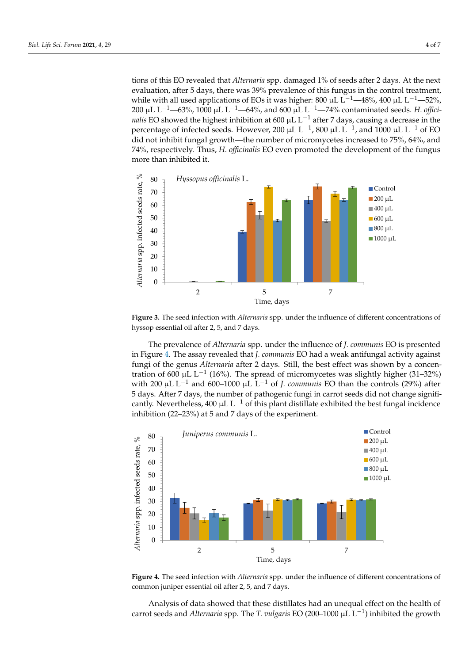40

tions of this EO revealed that *Alternaria* spp. damaged 1% of seeds after 2 days. At the next evaluation, after 5 days, there was 39% prevalence of this fungus in the control treatment, while with all used applications of EOs it was higher: 800 µL L<sup>-1</sup>—48%, 400 µL L<sup>-1</sup>—52%, 200 µL L−1—63%, 1000 µL L−1—64%, and 600 µL L−1—74% contaminated seeds. *H. offici-*257 *nalis* EO showed the highest inhibition at 600 µL L<sup>-1</sup> after 7 days, causing a decrease in the percentage of infected seeds. However, 200 µL L<sup>-1</sup>, 800 µL L<sup>-1</sup>, and 1000 µL L<sup>-1</sup> of EO did not inhibit fungal growth—the number of micromycetes increased to 75%, 64%, and 74%, respectively. Thus, *H. officinalis* EO even promoted the development of the fungus more than inhibited it. Alternaria sp<br>Alternaria seeds rates<br>Alternaria seeds rates

<span id="page-3-0"></span>

Figure 3. The seed infection with *Alternaria* spp. under the influence of different concentrations of hyssop essential oil after 2, 5, and 7 days. hyssop essential oil after 2, 5, and 7 days.

The prevalence of *Alternaria* spp. under the influence of *J. communis* EO is presented The prevalence of *Alternaria* spp. under the influence of *J. communis* EO is presented in Figure 4. The assay revealed that *J. communis* EO had a weak antifungal activity against in Figure [4.](#page-3-1) The assay revealed that *J. communis* EO had a weak antifungal activity against fungi of the genus *Alternaria* after 2 days. Still, the best effect was shown by a concentration of 600 μL L<sup>−1</sup> (16%). The spread of micromycetes was slightly higher (31–32%) with 200 µL L<sup>-1</sup> and 600–1000 µL L<sup>-1</sup> of *J. communis* EO than the controls (29%) after  $5$  days. After 7 days, the number of pathogenic fungi in carrot seeds did not change signifi- $\sigma$  days, the r days, the number of pathogenic fungi in carrot second and not change significant  $\sigma$ cantly. Nevertheless, 400 µL L<sup>-1</sup> of this plant distillate exhibited the best fungal incidence inhibition (22, 22%) of  $\overline{5}$  and  $\overline{7}$  days of the augmentions inhibition (22–23%) at 5 and 7 days of the experiment. fungi of the genus *Alternaria* after 2 days. Still, the best effect was shown by a concen-

<span id="page-3-1"></span>

Figure 4. The seed infection with Alternaria spp. under the influence of different concentrations of common juniper essential oil after 2, 5, and 7 days. common juniper essential oil after 2, 5, and 7 days.

Analysis of data showed that these distillates had an unequal effect on the health of carrot seeds and *Alternaria* spp. The *T. vulgaris* EO (200–1000 µL L<sup>-1</sup>) inhibited the growth

1000 μL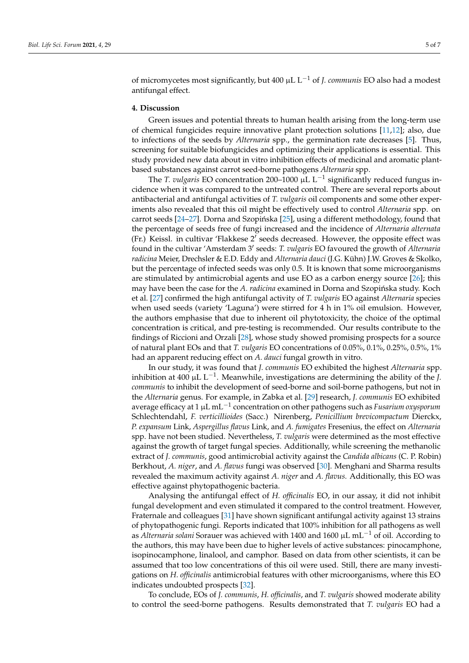of micromycetes most significantly, but 400 µL L−<sup>1</sup> of *J. communis* EO also had a modest antifungal effect.

# **4. Discussion**

Green issues and potential threats to human health arising from the long-term use of chemical fungicides require innovative plant protection solutions [\[11](#page-6-1)[,12\]](#page-6-2); also, due to infections of the seeds by *Alternaria* spp., the germination rate decreases [\[5\]](#page-5-3). Thus, screening for suitable biofungicides and optimizing their applications is essential. This study provided new data about in vitro inhibition effects of medicinal and aromatic plantbased substances against carrot seed-borne pathogens *Alternaria* spp.

The *T. vulgaris* EO concentration 200–1000 μL L<sup>-1</sup> significantly reduced fungus incidence when it was compared to the untreated control. There are several reports about antibacterial and antifungal activities of *T. vulgaris* oil components and some other experiments also revealed that this oil might be effectively used to control *Alternaria* spp. on carrot seeds [\[24–](#page-6-12)[27\]](#page-6-13). Dorna and Szopińska [\[25\]](#page-6-14), using a different methodology, found that the percentage of seeds free of fungi increased and the incidence of *Alternaria alternata* (Fr.) Keissl. in cultivar 'Flakkese  $2^{7}$  seeds decreased. However, the opposite effect was found in the cultivar 'Amsterdam 3' seeds: T. *vulgaris* EO favoured the growth of *Alternaria radicina* Meier, Drechsler & E.D. Eddy and *Alternaria dauci* (J.G. Kühn) J.W. Groves & Skolko, but the percentage of infected seeds was only 0.5. It is known that some microorganisms are stimulated by antimicrobial agents and use EO as a carbon energy source [\[26\]](#page-6-15); this may have been the case for the *A. radicina* examined in Dorna and Szopińska study. Koch et al. [\[27\]](#page-6-13) confirmed the high antifungal activity of *T. vulgaris* EO against *Alternaria* species when used seeds (variety 'Laguna') were stirred for 4 h in 1% oil emulsion. However, the authors emphasise that due to inherent oil phytotoxicity, the choice of the optimal concentration is critical, and pre-testing is recommended. Our results contribute to the findings of Riccioni and Orzali [\[28\]](#page-6-16), whose study showed promising prospects for a source of natural plant EOs and that *T. vulgaris* EO concentrations of 0.05%, 0.1%, 0.25%, 0.5%, 1% had an apparent reducing effect on *A. dauci* fungal growth in vitro.

In our study, it was found that *J. communis* EO exhibited the highest *Alternaria* spp. inhibition at 400 µL L−<sup>1</sup> . Meanwhile, investigations are determining the ability of the *J. communis* to inhibit the development of seed-borne and soil-borne pathogens, but not in the *Alternaria* genus. For example, in Zabka et al. [\[29\]](#page-6-17) research, *J. communis* EO exhibited average efficacy at 1 µL mL−<sup>1</sup> concentration on other pathogens such as *Fusarium oxysporum* Schlechtendahl, *F. verticillioides* (Sacc.) Nirenberg, *Penicillium brevicompactum* Dierckx, *P. expansum* Link, *Aspergillus flavus* Link, and *A. fumigates* Fresenius, the effect on *Alternaria* spp. have not been studied. Nevertheless, *T. vulgaris* were determined as the most effective against the growth of target fungal species. Additionally, while screening the methanolic extract of *J. communis*, good antimicrobial activity against the *Candida albicans* (C. P. Robin) Berkhout, *A. niger*, and *A. flavus* fungi was observed [\[30\]](#page-6-18). Menghani and Sharma results revealed the maximum activity against *A. niger* and *A. flavus.* Additionally, this EO was effective against phytopathogenic bacteria.

Analysing the antifungal effect of *H. officinalis* EO, in our assay, it did not inhibit fungal development and even stimulated it compared to the control treatment. However, Fraternale and colleagues [\[31\]](#page-6-19) have shown significant antifungal activity against 13 strains of phytopathogenic fungi. Reports indicated that 100% inhibition for all pathogens as well as *Alternaria solani* Sorauer was achieved with 1400 and 1600 µL mL−<sup>1</sup> of oil. According to the authors, this may have been due to higher levels of active substances: pinocamphone, isopinocamphone, linalool, and camphor. Based on data from other scientists, it can be assumed that too low concentrations of this oil were used. Still, there are many investigations on *H. officinalis* antimicrobial features with other microorganisms, where this EO indicates undoubted prospects [\[32\]](#page-6-20).

To conclude, EOs of *J. communis*, *H. officinalis*, and *T. vulgaris* showed moderate ability to control the seed-borne pathogens. Results demonstrated that *T. vulgaris* EO had a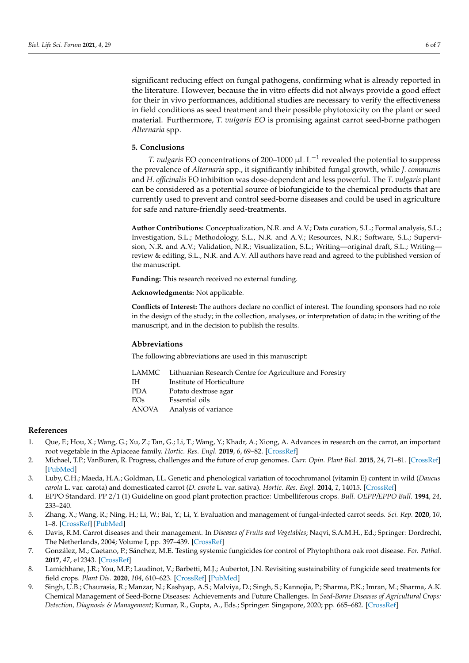significant reducing effect on fungal pathogens, confirming what is already reported in the literature. However, because the in vitro effects did not always provide a good effect for their in vivo performances, additional studies are necessary to verify the effectiveness in field conditions as seed treatment and their possible phytotoxicity on the plant or seed material. Furthermore, *T. vulgaris EO* is promising against carrot seed-borne pathogen *Alternaria* spp.

# **5. Conclusions**

*T. vulgaris* EO concentrations of 200–1000 µL L−<sup>1</sup> revealed the potential to suppress the prevalence of *Alternaria* spp., it significantly inhibited fungal growth, while *J. communis* and *H. officinalis* EO inhibition was dose-dependent and less powerful. The *T. vulgaris* plant can be considered as a potential source of biofungicide to the chemical products that are currently used to prevent and control seed-borne diseases and could be used in agriculture for safe and nature-friendly seed-treatments.

**Author Contributions:** Conceptualization, N.R. and A.V.; Data curation, S.L.; Formal analysis, S.L.; Investigation, S.L.; Methodology, S.L., N.R. and A.V.; Resources, N.R.; Software, S.L.; Supervision, N.R. and A.V.; Validation, N.R.; Visualization, S.L.; Writing—original draft, S.L.; Writing review & editing, S.L., N.R. and A.V. All authors have read and agreed to the published version of the manuscript.

**Funding:** This research received no external funding.

**Acknowledgments:** Not applicable.

**Conflicts of Interest:** The authors declare no conflict of interest. The founding sponsors had no role in the design of the study; in the collection, analyses, or interpretation of data; in the writing of the manuscript, and in the decision to publish the results.

# **Abbreviations**

The following abbreviations are used in this manuscript:

|     | LAMMC Lithuanian Research Centre for Agriculture and Forestry |
|-----|---------------------------------------------------------------|
| TH. | Institute of Horticulture                                     |
| PDA | Potato dextrose agar                                          |
| EOs | Essential oils                                                |
|     | ANOVA Analysis of variance                                    |
|     |                                                               |

# **References**

- <span id="page-5-0"></span>1. Que, F.; Hou, X.; Wang, G.; Xu, Z.; Tan, G.; Li, T.; Wang, Y.; Khadr, A.; Xiong, A. Advances in research on the carrot, an important root vegetable in the Apiaceae family. *Hortic. Res. Engl.* **2019**, *6*, 69–82. [\[CrossRef\]](http://doi.org/10.1038/s41438-019-0150-6)
- 2. Michael, T.P.; VanBuren, R. Progress, challenges and the future of crop genomes. *Curr. Opin. Plant Biol.* **2015**, *24*, 71–81. [\[CrossRef\]](http://doi.org/10.1016/j.pbi.2015.02.002) [\[PubMed\]](http://www.ncbi.nlm.nih.gov/pubmed/25703261)
- <span id="page-5-1"></span>3. Luby, C.H.; Maeda, H.A.; Goldman, I.L. Genetic and phenological variation of tocochromanol (vitamin E) content in wild (*Daucus carota* L. var. carota) and domesticated carrot (*D. carota* L. var. sativa). *Hortic. Res. Engl.* **2014**, *1*, 14015. [\[CrossRef\]](http://doi.org/10.1038/hortres.2014.15)
- <span id="page-5-2"></span>4. EPPO Standard. PP 2/1 (1) Guideline on good plant protection practice: Umbelliferous crops. *Bull. OEPP/EPPO Bull.* **1994**, *24*, 233–240.
- <span id="page-5-3"></span>5. Zhang, X.; Wang, R.; Ning, H.; Li, W.; Bai, Y.; Li, Y. Evaluation and management of fungal-infected carrot seeds. *Sci. Rep.* **2020**, *10*, 1–8. [\[CrossRef\]](http://doi.org/10.1038/s41598-020-67907-5) [\[PubMed\]](http://www.ncbi.nlm.nih.gov/pubmed/32616789)
- <span id="page-5-4"></span>6. Davis, R.M. Carrot diseases and their management. In *Diseases of Fruits and Vegetables*; Naqvi, S.A.M.H., Ed.; Springer: Dordrecht, The Netherlands, 2004; Volume I, pp. 397–439. [\[CrossRef\]](http://doi.org/10.1007/1-4020-2606-4_10)
- <span id="page-5-5"></span>7. González, M.; Caetano, P.; Sánchez, M.E. Testing systemic fungicides for control of Phytophthora oak root disease. *For. Pathol.* **2017**, *47*, e12343. [\[CrossRef\]](http://doi.org/10.1111/efp.12343)
- 8. Lamichhane, J.R.; You, M.P.; Laudinot, V.; Barbetti, M.J.; Aubertot, J.N. Revisiting sustainability of fungicide seed treatments for field crops. *Plant Dis.* **2020**, *104*, 610–623. [\[CrossRef\]](http://doi.org/10.1094/PDIS-06-19-1157-FE) [\[PubMed\]](http://www.ncbi.nlm.nih.gov/pubmed/31944170)
- 9. Singh, U.B.; Chaurasia, R.; Manzar, N.; Kashyap, A.S.; Malviya, D.; Singh, S.; Kannojia, P.; Sharma, P.K.; Imran, M.; Sharma, A.K. Chemical Management of Seed-Borne Diseases: Achievements and Future Challenges. In *Seed-Borne Diseases of Agricultural Crops: Detection, Diagnosis & Management*; Kumar, R., Gupta, A., Eds.; Springer: Singapore, 2020; pp. 665–682. [\[CrossRef\]](http://doi.org/10.1007/978-981-32-9046-4_23)